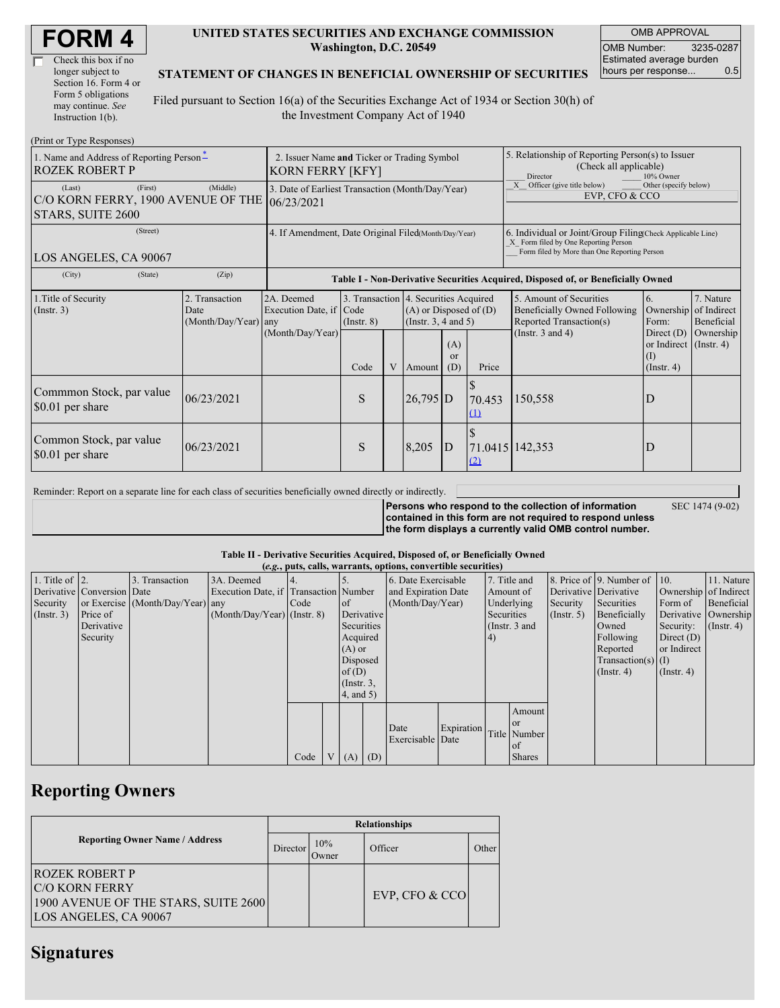| <b>FORM4</b> |
|--------------|
|--------------|

| Check this box if no  |
|-----------------------|
| longer subject to     |
| Section 16. Form 4 or |
| Form 5 obligations    |
| may continue. See     |
| Instruction $1(b)$ .  |

#### **UNITED STATES SECURITIES AND EXCHANGE COMMISSION Washington, D.C. 20549**

OMB APPROVAL OMB Number: 3235-0287 Estimated average burden hours per response... 0.5

### **STATEMENT OF CHANGES IN BENEFICIAL OWNERSHIP OF SECURITIES**

Filed pursuant to Section 16(a) of the Securities Exchange Act of 1934 or Section 30(h) of the Investment Company Act of 1940

| (Print or Type Responses)                                                    |                                                                 |                                                                                  |                 |        |                                                                                            |       |                                                                                                                                                    |                                                                                    |                                      |                         |  |
|------------------------------------------------------------------------------|-----------------------------------------------------------------|----------------------------------------------------------------------------------|-----------------|--------|--------------------------------------------------------------------------------------------|-------|----------------------------------------------------------------------------------------------------------------------------------------------------|------------------------------------------------------------------------------------|--------------------------------------|-------------------------|--|
| 1. Name and Address of Reporting Person-<br><b>ROZEK ROBERT P</b>            | 2. Issuer Name and Ticker or Trading Symbol<br>KORN FERRY [KFY] |                                                                                  |                 |        |                                                                                            |       | 5. Relationship of Reporting Person(s) to Issuer<br>(Check all applicable)<br>Director<br>10% Owner                                                |                                                                                    |                                      |                         |  |
| (Last)<br>(First)<br>C/O KORN FERRY, 1900 AVENUE OF THE<br>STARS, SUITE 2600 | 3. Date of Earliest Transaction (Month/Day/Year)<br> 06/23/2021 |                                                                                  |                 |        |                                                                                            |       | X Officer (give title below)<br>Other (specify below)<br>EVP. CFO & CCO                                                                            |                                                                                    |                                      |                         |  |
| (Street)<br>LOS ANGELES, CA 90067                                            | 4. If Amendment, Date Original Filed(Month/Day/Year)            |                                                                                  |                 |        |                                                                                            |       | 6. Individual or Joint/Group Filing Check Applicable Line)<br>X Form filed by One Reporting Person<br>Form filed by More than One Reporting Person |                                                                                    |                                      |                         |  |
| (City)<br>(State)                                                            | (Zip)                                                           | Table I - Non-Derivative Securities Acquired, Disposed of, or Beneficially Owned |                 |        |                                                                                            |       |                                                                                                                                                    |                                                                                    |                                      |                         |  |
| 1. Title of Security<br>(Insert. 3)                                          | 2. Transaction<br>Date<br>(Month/Day/Year)                      | 2A. Deemed<br>Execution Date, if Code<br>any                                     | $($ Instr. $8)$ |        | 3. Transaction 4. Securities Acquired<br>$(A)$ or Disposed of $(D)$<br>(Instr. 3, 4 and 5) |       |                                                                                                                                                    | 5. Amount of Securities<br>Beneficially Owned Following<br>Reported Transaction(s) | 6.<br>Ownership of Indirect<br>Form: | 7. Nature<br>Beneficial |  |
| (Month/Day/Year)                                                             |                                                                 | Code                                                                             | V               | Amount | (A)<br><sub>or</sub><br>(D)                                                                | Price | (Instr. $3$ and $4$ )                                                                                                                              | Direct $(D)$<br>or Indirect (Instr. 4)<br>(1)<br>(Insert, 4)                       | Ownership                            |                         |  |
| Commmon Stock, par value<br>\$0.01 per share                                 | 06/23/2021                                                      |                                                                                  | S               |        | 26,795 D                                                                                   |       | 70.453<br>(1)                                                                                                                                      | 150,558                                                                            | D                                    |                         |  |
| Common Stock, par value<br>\$0.01 per share                                  | 06/23/2021                                                      |                                                                                  | S               |        | 8,205                                                                                      | D     | 71.0415 142,353<br>(2)                                                                                                                             |                                                                                    | D                                    |                         |  |

Reminder: Report on a separate line for each class of securities beneficially owned directly or indirectly.

**Persons who respond to the collection of information contained in this form are not required to respond unless the form displays a currently valid OMB control number.** SEC 1474 (9-02)

#### **Table II - Derivative Securities Acquired, Disposed of, or Beneficially Owned**

| (e.g., puts, calls, warrants, options, convertible securities) |                            |                                  |                                       |      |  |                 |     |                     |                     |              |               |                       |                          |                       |            |
|----------------------------------------------------------------|----------------------------|----------------------------------|---------------------------------------|------|--|-----------------|-----|---------------------|---------------------|--------------|---------------|-----------------------|--------------------------|-----------------------|------------|
| 1. Title of $\vert$ 2.                                         |                            | 3. Transaction                   | 3A. Deemed                            |      |  |                 |     | 6. Date Exercisable |                     | 7. Title and |               |                       | 8. Price of 9. Number of | 110.                  | 11. Nature |
|                                                                | Derivative Conversion Date |                                  | Execution Date, if Transaction Number |      |  |                 |     |                     | and Expiration Date |              | Amount of     | Derivative Derivative |                          | Ownership of Indirect |            |
| Security                                                       |                            | or Exercise (Month/Day/Year) any |                                       | Code |  | <sub>of</sub>   |     | (Month/Day/Year)    |                     | Underlying   |               | Security              | Securities               | Form of               | Beneficial |
| (Insert. 3)                                                    | Price of                   |                                  | $(Month/Day/Year)$ (Instr. 8)         |      |  | Derivative      |     | Securities          |                     |              | $($ Instr. 5) | Beneficially          |                          | Derivative Ownership  |            |
|                                                                | Derivative                 |                                  |                                       |      |  | Securities      |     |                     | (Instr. 3 and       |              |               | Owned                 | Security:                | $($ Instr. 4)         |            |
|                                                                | Security                   |                                  |                                       |      |  | Acquired        |     |                     |                     | 4)           |               |                       | Following                | Direct $(D)$          |            |
|                                                                |                            |                                  |                                       |      |  | $(A)$ or        |     |                     |                     |              |               |                       | Reported                 | or Indirect           |            |
|                                                                |                            |                                  |                                       |      |  | Disposed        |     |                     |                     |              |               |                       | $Transaction(s)$ (I)     |                       |            |
|                                                                |                            |                                  |                                       |      |  | of $(D)$        |     |                     |                     |              |               |                       | $($ Instr. 4 $)$         | $($ Instr. 4 $)$      |            |
|                                                                |                            |                                  |                                       |      |  | $($ Instr. $3,$ |     |                     |                     |              |               |                       |                          |                       |            |
|                                                                |                            |                                  |                                       |      |  | $4$ , and $5$ ) |     |                     |                     |              |               |                       |                          |                       |            |
|                                                                |                            |                                  |                                       |      |  |                 |     |                     |                     |              | Amount        |                       |                          |                       |            |
|                                                                |                            |                                  |                                       |      |  |                 |     |                     |                     |              | <sub>or</sub> |                       |                          |                       |            |
|                                                                |                            |                                  |                                       |      |  |                 |     | Date                | Expiration          |              | Title Number  |                       |                          |                       |            |
|                                                                |                            |                                  |                                       |      |  |                 |     | Exercisable Date    |                     |              | of            |                       |                          |                       |            |
|                                                                |                            |                                  |                                       | Code |  | V(A)            | (D) |                     |                     |              | <b>Shares</b> |                       |                          |                       |            |

## **Reporting Owners**

|                                                                                                                  | <b>Relationships</b> |              |                  |       |  |  |  |  |
|------------------------------------------------------------------------------------------------------------------|----------------------|--------------|------------------|-------|--|--|--|--|
| <b>Reporting Owner Name / Address</b>                                                                            |                      | 10%<br>Owner | Officer          | Other |  |  |  |  |
| <b>ROZEK ROBERT P</b><br><b>IC/O KORN FERRY</b><br>1900 AVENUE OF THE STARS, SUITE 2600<br>LOS ANGELES, CA 90067 |                      |              | EVP, CFO $&$ CCO |       |  |  |  |  |

### **Signatures**